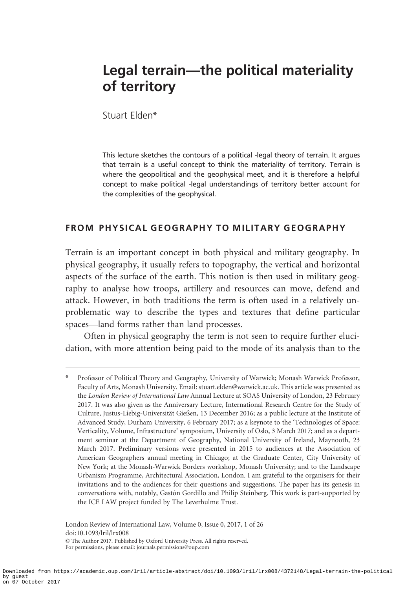# Legal terrain—the political materiality of territory

Stuart Elden\*

This lecture sketches the contours of a political -legal theory of terrain. It argues that terrain is a useful concept to think the materiality of territory. Terrain is where the geopolitical and the geophysical meet, and it is therefore a helpful concept to make political -legal understandings of territory better account for the complexities of the geophysical.

### FROM PHYSICAL GEOGRAPHY TO MILITARY GEOGRAPHY

Terrain is an important concept in both physical and military geography. In physical geography, it usually refers to topography, the vertical and horizontal aspects of the surface of the earth. This notion is then used in military geography to analyse how troops, artillery and resources can move, defend and attack. However, in both traditions the term is often used in a relatively unproblematic way to describe the types and textures that define particular spaces—land forms rather than land processes.

Often in physical geography the term is not seen to require further elucidation, with more attention being paid to the mode of its analysis than to the

London Review of International Law, Volume 0, Issue 0, 2017, 1 of 26 doi:10.1093/lril/lrx008 - The Author 2017. Published by Oxford University Press. All rights reserved. For permissions, please email: journals.permissions@oup.com

<sup>\*</sup> Professor of Political Theory and Geography, University of Warwick; Monash Warwick Professor, Faculty of Arts, Monash University. Email: stuart.elden@warwick.ac.uk. This article was presented as the London Review of International Law Annual Lecture at SOAS University of London, 23 February 2017. It was also given as the Anniversary Lecture, International Research Centre for the Study of Culture, Justus-Liebig-Universität Gießen, 13 December 2016; as a public lecture at the Institute of Advanced Study, Durham University, 6 February 2017; as a keynote to the 'Technologies of Space: Verticality, Volume, Infrastructure' symposium, University of Oslo, 3 March 2017; and as a department seminar at the Department of Geography, National University of Ireland, Maynooth, 23 March 2017. Preliminary versions were presented in 2015 to audiences at the Association of American Geographers annual meeting in Chicago; at the Graduate Center, City University of New York; at the Monash-Warwick Borders workshop, Monash University; and to the Landscape Urbanism Programme, Architectural Association, London. I am grateful to the organisers for their invitations and to the audiences for their questions and suggestions. The paper has its genesis in conversations with, notably, Gastón Gordillo and Philip Steinberg. This work is part-supported by the ICE LAW project funded by The Leverhulme Trust.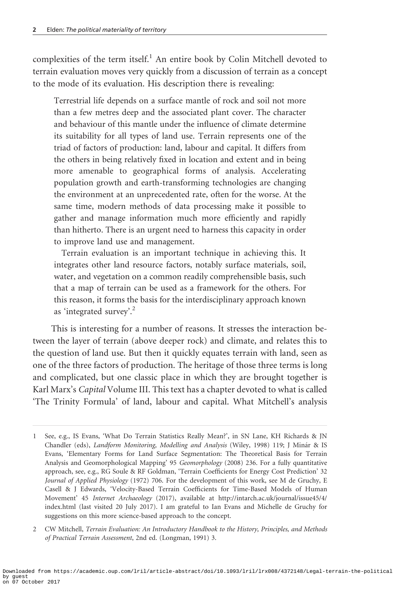complexities of the term itself.<sup>1</sup> An entire book by Colin Mitchell devoted to terrain evaluation moves very quickly from a discussion of terrain as a concept to the mode of its evaluation. His description there is revealing:

Terrestrial life depends on a surface mantle of rock and soil not more than a few metres deep and the associated plant cover. The character and behaviour of this mantle under the influence of climate determine its suitability for all types of land use. Terrain represents one of the triad of factors of production: land, labour and capital. It differs from the others in being relatively fixed in location and extent and in being more amenable to geographical forms of analysis. Accelerating population growth and earth-transforming technologies are changing the environment at an unprecedented rate, often for the worse. At the same time, modern methods of data processing make it possible to gather and manage information much more efficiently and rapidly than hitherto. There is an urgent need to harness this capacity in order to improve land use and management.

Terrain evaluation is an important technique in achieving this. It integrates other land resource factors, notably surface materials, soil, water, and vegetation on a common readily comprehensible basis, such that a map of terrain can be used as a framework for the others. For this reason, it forms the basis for the interdisciplinary approach known as 'integrated survey'.<sup>2</sup>

This is interesting for a number of reasons. It stresses the interaction between the layer of terrain (above deeper rock) and climate, and relates this to the question of land use. But then it quickly equates terrain with land, seen as one of the three factors of production. The heritage of those three terms is long and complicated, but one classic place in which they are brought together is Karl Marx's Capital Volume III. This text has a chapter devoted to what is called 'The Trinity Formula' of land, labour and capital. What Mitchell's analysis

<sup>1</sup> See, e.g., IS Evans, 'What Do Terrain Statistics Really Mean?', in SN Lane, KH Richards & JN Chandler (eds), Landform Monitoring, Modelling and Analysis (Wiley, 1998) 119; J Minár & IS Evans, 'Elementary Forms for Land Surface Segmentation: The Theoretical Basis for Terrain Analysis and Geomorphological Mapping' 95 Geomorphology (2008) 236. For a fully quantitative approach, see, e.g., RG Soule & RF Goldman, 'Terrain Coefficients for Energy Cost Prediction' 32 Journal of Applied Physiology (1972) 706. For the development of this work, see M de Gruchy, E Casell & J Edwards, 'Velocity-Based Terrain Coefficients for Time-Based Models of Human Movement' 45 Internet Archaeology (2017), available at [http://intarch.ac.uk/journal/issue45/4/](http://intarch.ac.uk/journal/issue45/4/index.html) [index.html](http://intarch.ac.uk/journal/issue45/4/index.html) (last visited 20 July 2017). I am grateful to Ian Evans and Michelle de Gruchy for suggestions on this more science-based approach to the concept.

<sup>2</sup> CW Mitchell, Terrain Evaluation: An Introductory Handbook to the History, Principles, and Methods of Practical Terrain Assessment, 2nd ed. (Longman, 1991) 3.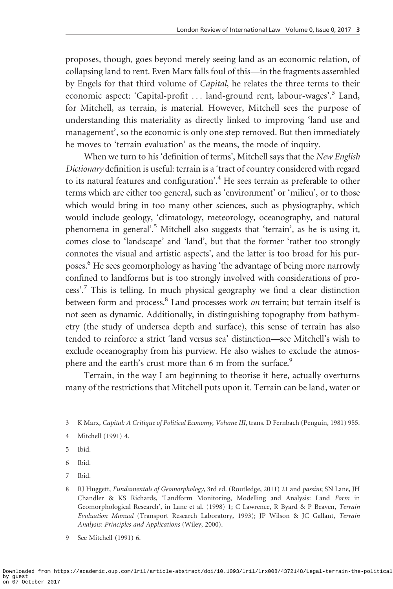proposes, though, goes beyond merely seeing land as an economic relation, of collapsing land to rent. Even Marx falls foul of this—in the fragments assembled by Engels for that third volume of Capital, he relates the three terms to their economic aspect: 'Capital-profit ... land-ground rent, labour-wages'.<sup>3</sup> Land, for Mitchell, as terrain, is material. However, Mitchell sees the purpose of understanding this materiality as directly linked to improving 'land use and management', so the economic is only one step removed. But then immediately he moves to 'terrain evaluation' as the means, the mode of inquiry.

When we turn to his 'definition of terms', Mitchell says that the New English Dictionary definition is useful: terrain is a 'tract of country considered with regard to its natural features and configuration'.<sup>4</sup> He sees terrain as preferable to other terms which are either too general, such as 'environment' or 'milieu', or to those which would bring in too many other sciences, such as physiography, which would include geology, 'climatology, meteorology, oceanography, and natural phenomena in general<sup>'.5</sup> Mitchell also suggests that 'terrain', as he is using it, comes close to 'landscape' and 'land', but that the former 'rather too strongly connotes the visual and artistic aspects', and the latter is too broad for his purposes.<sup>6</sup> He sees geomorphology as having 'the advantage of being more narrowly confined to landforms but is too strongly involved with considerations of process'.7 This is telling. In much physical geography we find a clear distinction between form and process.<sup>8</sup> Land processes work *on* terrain; but terrain itself is not seen as dynamic. Additionally, in distinguishing topography from bathymetry (the study of undersea depth and surface), this sense of terrain has also tended to reinforce a strict 'land versus sea' distinction—see Mitchell's wish to exclude oceanography from his purview. He also wishes to exclude the atmosphere and the earth's crust more than 6 m from the surface.<sup>9</sup>

Terrain, in the way I am beginning to theorise it here, actually overturns many of the restrictions that Mitchell puts upon it. Terrain can be land, water or

- 4 Mitchell (1991) 4.
- 5 Ibid.
- 6 Ibid.
- 7 Ibid.

9 See Mitchell (1991) 6.

<sup>3</sup> K Marx, Capital: A Critique of Political Economy, Volume III, trans. D Fernbach (Penguin, 1981) 955.

<sup>8</sup> RJ Huggett, Fundamentals of Geomorphology, 3rd ed. (Routledge, 2011) 21 and passim; SN Lane, JH Chandler & KS Richards, 'Landform Monitoring, Modelling and Analysis: Land Form in Geomorphological Research', in Lane et al. (1998) 1; C Lawrence, R Byard & P Beaven, Terrain Evaluation Manual (Transport Research Laboratory, 1993); JP Wilson & JC Gallant, Terrain Analysis: Principles and Applications (Wiley, 2000).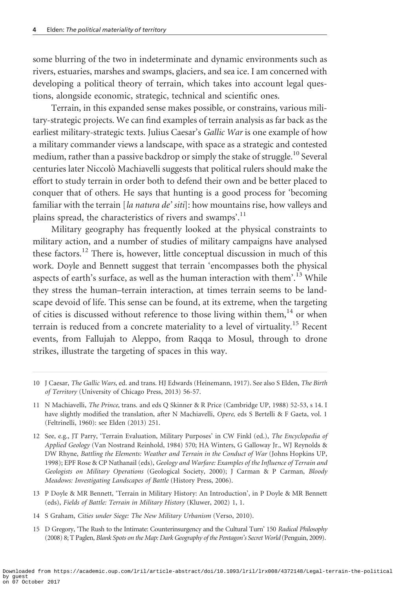some blurring of the two in indeterminate and dynamic environments such as rivers, estuaries, marshes and swamps, glaciers, and sea ice. I am concerned with developing a political theory of terrain, which takes into account legal questions, alongside economic, strategic, technical and scientific ones.

Terrain, in this expanded sense makes possible, or constrains, various military-strategic projects. We can find examples of terrain analysis as far back as the earliest military-strategic texts. Julius Caesar's Gallic War is one example of how a military commander views a landscape, with space as a strategic and contested medium, rather than a passive backdrop or simply the stake of struggle.<sup>10</sup> Several centuries later Niccolo` Machiavelli suggests that political rulers should make the effort to study terrain in order both to defend their own and be better placed to conquer that of others. He says that hunting is a good process for 'becoming familiar with the terrain [la natura de' siti]: how mountains rise, how valleys and plains spread, the characteristics of rivers and swamps'.<sup>11</sup>

Military geography has frequently looked at the physical constraints to military action, and a number of studies of military campaigns have analysed these factors.<sup>12</sup> There is, however, little conceptual discussion in much of this work. Doyle and Bennett suggest that terrain 'encompasses both the physical aspects of earth's surface, as well as the human interaction with them'.<sup>13</sup> While they stress the human–terrain interaction, at times terrain seems to be landscape devoid of life. This sense can be found, at its extreme, when the targeting of cities is discussed without reference to those living within them,<sup>14</sup> or when terrain is reduced from a concrete materiality to a level of virtuality.<sup>15</sup> Recent events, from Fallujah to Aleppo, from Raqqa to Mosul, through to drone strikes, illustrate the targeting of spaces in this way.

12 See, e.g., JT Parry, 'Terrain Evaluation, Military Purposes' in CW Finkl (ed.), The Encyclopedia of Applied Geology (Van Nostrand Reinhold, 1984) 570; HA Winters, G Galloway Jr., WJ Reynolds & DW Rhyne, Battling the Elements: Weather and Terrain in the Conduct of War (Johns Hopkins UP, 1998); EPF Rose & CP Nathanail (eds), Geology and Warfare: Examples of the Influence of Terrain and Geologists on Military Operations (Geological Society, 2000); J Carman & P Carman, Bloody Meadows: Investigating Landscapes of Battle (History Press, 2006).

- 13 P Doyle & MR Bennett, 'Terrain in Military History: An Introduction', in P Doyle & MR Bennett (eds), Fields of Battle: Terrain in Military History (Kluwer, 2002) 1, 1.
- 14 S Graham, Cities under Siege: The New Military Urbanism (Verso, 2010).
- 15 D Gregory, 'The Rush to the Intimate: Counterinsurgency and the Cultural Turn' 150 Radical Philosophy (2008) 8; T Paglen, Blank Spots on the Map: Dark Geography of the Pentagon's Secret World (Penguin, 2009).

<sup>10</sup> J Caesar, The Gallic Wars, ed. and trans. HJ Edwards (Heinemann, 1917). See also S Elden, The Birth of Territory (University of Chicago Press, 2013) 56-57.

<sup>11</sup> N Machiavelli, The Prince, trans. and eds Q Skinner & R Price (Cambridge UP, 1988) 52-53, s 14. I have slightly modified the translation, after N Machiavelli, Opere, eds S Bertelli & F Gaeta, vol. 1 (Feltrinelli, 1960): see Elden (2013) 251.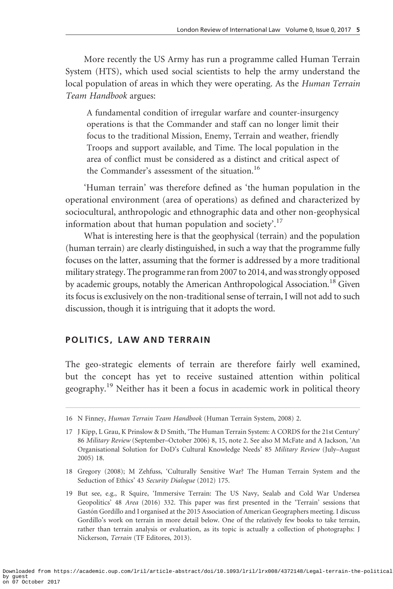More recently the US Army has run a programme called Human Terrain System (HTS), which used social scientists to help the army understand the local population of areas in which they were operating. As the Human Terrain Team Handbook argues:

A fundamental condition of irregular warfare and counter-insurgency operations is that the Commander and staff can no longer limit their focus to the traditional Mission, Enemy, Terrain and weather, friendly Troops and support available, and Time. The local population in the area of conflict must be considered as a distinct and critical aspect of the Commander's assessment of the situation.<sup>16</sup>

'Human terrain' was therefore defined as 'the human population in the operational environment (area of operations) as defined and characterized by sociocultural, anthropologic and ethnographic data and other non-geophysical information about that human population and society'.<sup>17</sup>

What is interesting here is that the geophysical (terrain) and the population (human terrain) are clearly distinguished, in such a way that the programme fully focuses on the latter, assuming that the former is addressed by a more traditional military strategy. The programme ran from 2007 to 2014, and was strongly opposed by academic groups, notably the American Anthropological Association.<sup>18</sup> Given its focus is exclusively on the non-traditional sense of terrain, I will not add to such discussion, though it is intriguing that it adopts the word.

## POLITICS, LAW AND TERRAIN

The geo-strategic elements of terrain are therefore fairly well examined, but the concept has yet to receive sustained attention within political geography.<sup>19</sup> Neither has it been a focus in academic work in political theory

<sup>16</sup> N Finney, Human Terrain Team Handbook (Human Terrain System, 2008) 2.

<sup>17</sup> J Kipp, L Grau, K Prinslow & D Smith, 'The Human Terrain System: A CORDS for the 21st Century' 86 Military Review (September–October 2006) 8, 15, note 2. See also M McFate and A Jackson, 'An Organisational Solution for DoD's Cultural Knowledge Needs' 85 Military Review (July–August 2005) 18.

<sup>18</sup> Gregory (2008); M Zehfuss, 'Culturally Sensitive War? The Human Terrain System and the Seduction of Ethics' 43 Security Dialogue (2012) 175.

<sup>19</sup> But see, e.g., R Squire, 'Immersive Terrain: The US Navy, Sealab and Cold War Undersea Geopolitics' 48 Area (2016) 332. This paper was first presented in the 'Terrain' sessions that Gastón Gordillo and I organised at the 2015 Association of American Geographers meeting. I discuss Gordillo's work on terrain in more detail below. One of the relatively few books to take terrain, rather than terrain analysis or evaluation, as its topic is actually a collection of photographs: J Nickerson, Terrain (TF Editores, 2013).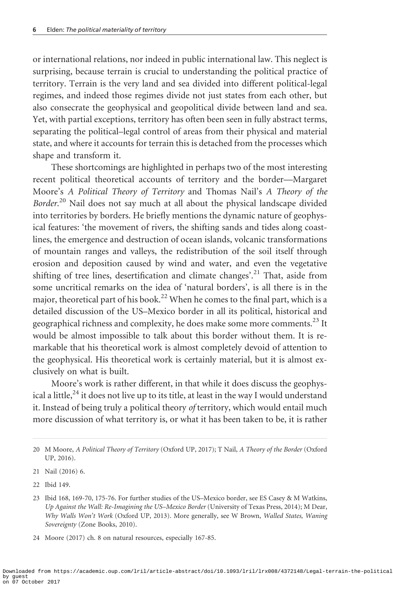or international relations, nor indeed in public international law. This neglect is surprising, because terrain is crucial to understanding the political practice of territory. Terrain is the very land and sea divided into different political-legal regimes, and indeed those regimes divide not just states from each other, but also consecrate the geophysical and geopolitical divide between land and sea. Yet, with partial exceptions, territory has often been seen in fully abstract terms, separating the political–legal control of areas from their physical and material state, and where it accounts for terrain this is detached from the processes which shape and transform it.

These shortcomings are highlighted in perhaps two of the most interesting recent political theoretical accounts of territory and the border—Margaret Moore's A Political Theory of Territory and Thomas Nail's A Theory of the Border.<sup>20</sup> Nail does not say much at all about the physical landscape divided into territories by borders. He briefly mentions the dynamic nature of geophysical features: 'the movement of rivers, the shifting sands and tides along coastlines, the emergence and destruction of ocean islands, volcanic transformations of mountain ranges and valleys, the redistribution of the soil itself through erosion and deposition caused by wind and water, and even the vegetative shifting of tree lines, desertification and climate changes'.<sup>21</sup> That, aside from some uncritical remarks on the idea of 'natural borders', is all there is in the major, theoretical part of his book.<sup>22</sup> When he comes to the final part, which is a detailed discussion of the US–Mexico border in all its political, historical and geographical richness and complexity, he does make some more comments.<sup>23</sup> It would be almost impossible to talk about this border without them. It is remarkable that his theoretical work is almost completely devoid of attention to the geophysical. His theoretical work is certainly material, but it is almost exclusively on what is built.

Moore's work is rather different, in that while it does discuss the geophysical a little,<sup>24</sup> it does not live up to its title, at least in the way I would understand it. Instead of being truly a political theory of territory, which would entail much more discussion of what territory is, or what it has been taken to be, it is rather

<sup>20</sup> M Moore, A Political Theory of Territory (Oxford UP, 2017); T Nail, A Theory of the Border (Oxford UP, 2016).

<sup>21</sup> Nail (2016) 6.

<sup>22</sup> Ibid 149.

<sup>23</sup> Ibid 168, 169-70, 175-76. For further studies of the US–Mexico border, see ES Casey & M Watkins, Up Against the Wall: Re-Imagining the US–Mexico Border (University of Texas Press, 2014); M Dear, Why Walls Won't Work (Oxford UP, 2013). More generally, see W Brown, Walled States, Waning Sovereignty (Zone Books, 2010).

<sup>24</sup> Moore (2017) ch. 8 on natural resources, especially 167-85.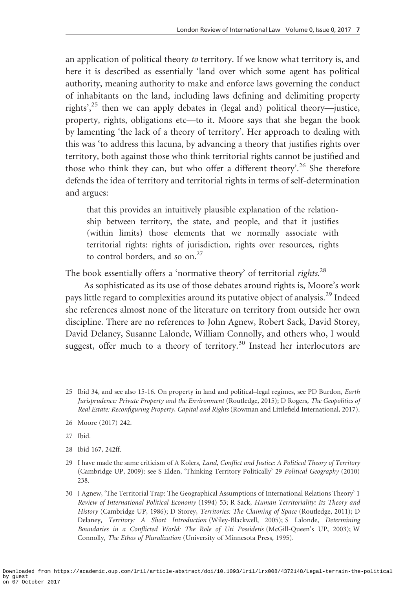an application of political theory to territory. If we know what territory is, and here it is described as essentially 'land over which some agent has political authority, meaning authority to make and enforce laws governing the conduct of inhabitants on the land, including laws defining and delimiting property rights',<sup>25</sup> then we can apply debates in (legal and) political theory—justice, property, rights, obligations etc—to it. Moore says that she began the book by lamenting 'the lack of a theory of territory'. Her approach to dealing with this was 'to address this lacuna, by advancing a theory that justifies rights over territory, both against those who think territorial rights cannot be justified and those who think they can, but who offer a different theory'.<sup>26</sup> She therefore defends the idea of territory and territorial rights in terms of self-determination and argues:

that this provides an intuitively plausible explanation of the relationship between territory, the state, and people, and that it justifies (within limits) those elements that we normally associate with territorial rights: rights of jurisdiction, rights over resources, rights to control borders, and so on. $27$ 

The book essentially offers a 'normative theory' of territorial rights.<sup>28</sup>

As sophisticated as its use of those debates around rights is, Moore's work pays little regard to complexities around its putative object of analysis.<sup>29</sup> Indeed she references almost none of the literature on territory from outside her own discipline. There are no references to John Agnew, Robert Sack, David Storey, David Delaney, Susanne Lalonde, William Connolly, and others who, I would suggest, offer much to a theory of territory.<sup>30</sup> Instead her interlocutors are

27 Ibid.

28 Ibid 167, 242ff.

<sup>25</sup> Ibid 34, and see also 15-16. On property in land and political–legal regimes, see PD Burdon, Earth Jurisprudence: Private Property and the Environment (Routledge, 2015); D Rogers, The Geopolitics of Real Estate: Reconfiguring Property, Capital and Rights (Rowman and Littlefield International, 2017).

<sup>26</sup> Moore (2017) 242.

<sup>29</sup> I have made the same criticism of A Kolers, Land, Conflict and Justice: A Political Theory of Territory (Cambridge UP, 2009): see S Elden, 'Thinking Territory Politically' 29 Political Geography (2010) 238.

<sup>30</sup> J Agnew, 'The Territorial Trap: The Geographical Assumptions of International Relations Theory' 1 Review of International Political Economy (1994) 53; R Sack, Human Territoriality: Its Theory and History (Cambridge UP, 1986); D Storey, Territories: The Claiming of Space (Routledge, 2011); D Delaney, Territory: A Short Introduction (Wiley-Blackwell, 2005); S Lalonde, Determining Boundaries in a Conflicted World: The Role of Uti Possidetis (McGill-Queen's UP, 2003); W Connolly, The Ethos of Pluralization (University of Minnesota Press, 1995).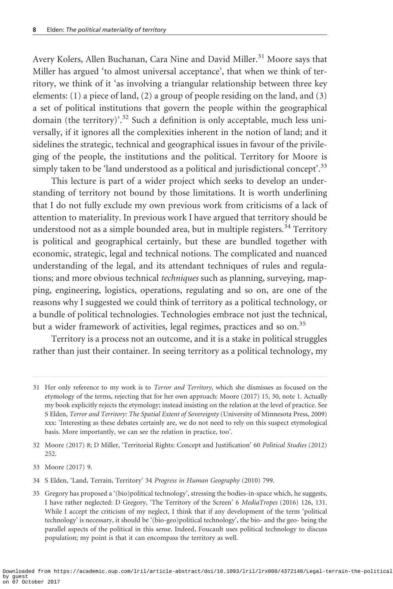Avery Kolers, Allen Buchanan, Cara Nine and David Miller.<sup>31</sup> Moore says that Miller has argued 'to almost universal acceptance', that when we think of territory, we think of it 'as involving a triangular relationship between three key elements: (1) a piece of land, (2) a group of people residing on the land, and (3) a set of political institutions that govern the people within the geographical domain (the territory)'.<sup>32</sup> Such a definition is only acceptable, much less universally, if it ignores all the complexities inherent in the notion of land; and it sidelines the strategic, technical and geographical issues in favour of the privileging of the people, the institutions and the political. Territory for Moore is simply taken to be 'land understood as a political and jurisdictional concept'.<sup>33</sup>

This lecture is part of a wider project which seeks to develop an understanding of territory not bound by those limitations. It is worth underlining that I do not fully exclude my own previous work from criticisms of a lack of attention to materiality. In previous work I have argued that territory should be understood not as a simple bounded area, but in multiple registers.<sup>34</sup> Territory is political and geographical certainly, but these are bundled together with economic, strategic, legal and technical notions. The complicated and nuanced understanding of the legal, and its attendant techniques of rules and regulations; and more obvious technical *techniques* such as planning, surveying, mapping, engineering, logistics, operations, regulating and so on, are one of the reasons why I suggested we could think of territory as a political technology, or a bundle of political technologies. Technologies embrace not just the technical, but a wider framework of activities, legal regimes, practices and so on.<sup>35</sup>

Territory is a process not an outcome, and it is a stake in political struggles rather than just their container. In seeing territory as a political technology, my

- 34 S Elden, 'Land, Terrain, Territory' 34 Progress in Human Geography (2010) 799.
- 35 Gregory has proposed a '(bio)political technology', stressing the bodies-in-space which, he suggests, I have rather neglected: D Gregory, 'The Territory of the Screen' 6 MediaTropes (2016) 126, 131. While I accept the criticism of my neglect, I think that if any development of the term 'political technology' is necessary, it should be '(bio-geo)political technology', the bio- and the geo- being the parallel aspects of the political in this sense. Indeed, Foucault uses political technology to discuss population; my point is that it can encompass the territory as well.

<sup>31</sup> Her only reference to my work is to Terror and Territory, which she dismisses as focused on the etymology of the terms, rejecting that for her own approach: Moore (2017) 15, 30, note 1. Actually my book explicitly rejects the etymology; instead insisting on the relation at the level of practice. See S Elden, Terror and Territory: The Spatial Extent of Sovereignty (University of Minnesota Press, 2009) xxx: 'Interesting as these debates certainly are, we do not need to rely on this suspect etymological basis. More importantly, we can see the relation in practice, too'.

<sup>32</sup> Moore (2017) 8; D Miller, 'Territorial Rights: Concept and Justification' 60 Political Studies (2012) 252.

<sup>33</sup> Moore (2017) 9.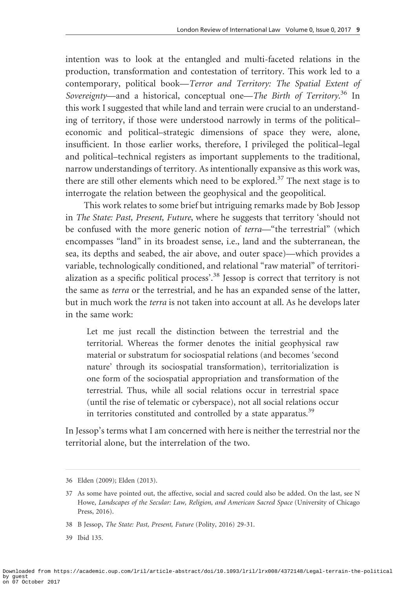intention was to look at the entangled and multi-faceted relations in the production, transformation and contestation of territory. This work led to a contemporary, political book—Terror and Territory: The Spatial Extent of Sovereignty-and a historical, conceptual one-The Birth of Territory.<sup>36</sup> In this work I suggested that while land and terrain were crucial to an understanding of territory, if those were understood narrowly in terms of the political– economic and political–strategic dimensions of space they were, alone, insufficient. In those earlier works, therefore, I privileged the political–legal and political–technical registers as important supplements to the traditional, narrow understandings of territory. As intentionally expansive as this work was, there are still other elements which need to be explored.<sup>37</sup> The next stage is to interrogate the relation between the geophysical and the geopolitical.

This work relates to some brief but intriguing remarks made by Bob Jessop in The State: Past, Present, Future, where he suggests that territory 'should not be confused with the more generic notion of terra—"the terrestrial" (which encompasses "land" in its broadest sense, i.e., land and the subterranean, the sea, its depths and seabed, the air above, and outer space)—which provides a variable, technologically conditioned, and relational "raw material" of territorialization as a specific political process'.<sup>38</sup> Jessop is correct that territory is not the same as terra or the terrestrial, and he has an expanded sense of the latter, but in much work the terra is not taken into account at all. As he develops later in the same work:

Let me just recall the distinction between the terrestrial and the territorial. Whereas the former denotes the initial geophysical raw material or substratum for sociospatial relations (and becomes 'second nature' through its sociospatial transformation), territorialization is one form of the sociospatial appropriation and transformation of the terrestrial. Thus, while all social relations occur in terrestrial space (until the rise of telematic or cyberspace), not all social relations occur in territories constituted and controlled by a state apparatus.<sup>39</sup>

In Jessop's terms what I am concerned with here is neither the terrestrial nor the territorial alone, but the interrelation of the two.

<sup>36</sup> Elden (2009); Elden (2013).

<sup>37</sup> As some have pointed out, the affective, social and sacred could also be added. On the last, see N Howe, Landscapes of the Secular: Law, Religion, and American Sacred Space (University of Chicago Press, 2016).

<sup>38</sup> B Jessop, The State: Past, Present, Future (Polity, 2016) 29-31.

<sup>39</sup> Ibid 135.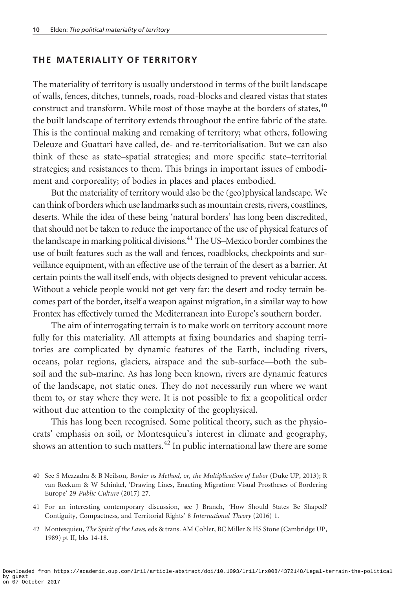#### THE MATERIALITY OF TERRITORY

The materiality of territory is usually understood in terms of the built landscape of walls, fences, ditches, tunnels, roads, road-blocks and cleared vistas that states construct and transform. While most of those maybe at the borders of states,  $40$ the built landscape of territory extends throughout the entire fabric of the state. This is the continual making and remaking of territory; what others, following Deleuze and Guattari have called, de- and re-territorialisation. But we can also think of these as state–spatial strategies; and more specific state–territorial strategies; and resistances to them. This brings in important issues of embodiment and corporeality; of bodies in places and places embodied.

But the materiality of territory would also be the (geo)physical landscape. We can think of borders which use landmarks such as mountain crests, rivers, coastlines, deserts. While the idea of these being 'natural borders' has long been discredited, that should not be taken to reduce the importance of the use of physical features of the landscape in marking political divisions.<sup>41</sup> The US–Mexico border combines the use of built features such as the wall and fences, roadblocks, checkpoints and surveillance equipment, with an effective use of the terrain of the desert as a barrier. At certain points the wall itself ends, with objects designed to prevent vehicular access. Without a vehicle people would not get very far: the desert and rocky terrain becomes part of the border, itself a weapon against migration, in a similar way to how Frontex has effectively turned the Mediterranean into Europe's southern border.

The aim of interrogating terrain is to make work on territory account more fully for this materiality. All attempts at fixing boundaries and shaping territories are complicated by dynamic features of the Earth, including rivers, oceans, polar regions, glaciers, airspace and the sub-surface—both the subsoil and the sub-marine. As has long been known, rivers are dynamic features of the landscape, not static ones. They do not necessarily run where we want them to, or stay where they were. It is not possible to fix a geopolitical order without due attention to the complexity of the geophysical.

This has long been recognised. Some political theory, such as the physiocrats' emphasis on soil, or Montesquieu's interest in climate and geography, shows an attention to such matters.<sup>42</sup> In public international law there are some

<sup>40</sup> See S Mezzadra & B Neilson, Border as Method, or, the Multiplication of Labor (Duke UP, 2013); R van Reekum & W Schinkel, 'Drawing Lines, Enacting Migration: Visual Prostheses of Bordering Europe' 29 Public Culture (2017) 27.

<sup>41</sup> For an interesting contemporary discussion, see J Branch, 'How Should States Be Shaped? Contiguity, Compactness, and Territorial Rights' 8 International Theory (2016) 1.

<sup>42</sup> Montesquieu, The Spirit of the Laws, eds & trans. AM Cohler, BC Miller & HS Stone (Cambridge UP, 1989) pt II, bks 14-18.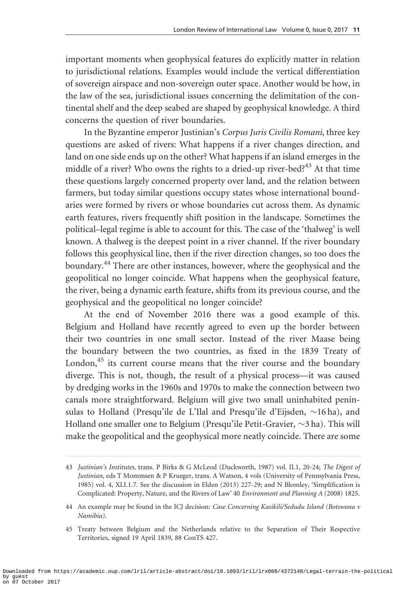important moments when geophysical features do explicitly matter in relation to jurisdictional relations. Examples would include the vertical differentiation of sovereign airspace and non-sovereign outer space. Another would be how, in the law of the sea, jurisdictional issues concerning the delimitation of the continental shelf and the deep seabed are shaped by geophysical knowledge. A third concerns the question of river boundaries.

In the Byzantine emperor Justinian's Corpus Juris Civilis Romani, three key questions are asked of rivers: What happens if a river changes direction, and land on one side ends up on the other? What happens if an island emerges in the middle of a river? Who owns the rights to a dried-up river-bed?<sup>43</sup> At that time these questions largely concerned property over land, and the relation between farmers, but today similar questions occupy states whose international boundaries were formed by rivers or whose boundaries cut across them. As dynamic earth features, rivers frequently shift position in the landscape. Sometimes the political–legal regime is able to account for this. The case of the 'thalweg' is well known. A thalweg is the deepest point in a river channel. If the river boundary follows this geophysical line, then if the river direction changes, so too does the boundary.<sup>44</sup> There are other instances, however, where the geophysical and the geopolitical no longer coincide. What happens when the geophysical feature, the river, being a dynamic earth feature, shifts from its previous course, and the geophysical and the geopolitical no longer coincide?

At the end of November 2016 there was a good example of this. Belgium and Holland have recently agreed to even up the border between their two countries in one small sector. Instead of the river Maase being the boundary between the two countries, as fixed in the 1839 Treaty of London,<sup>45</sup> its current course means that the river course and the boundary diverge. This is not, though, the result of a physical process—it was caused by dredging works in the 1960s and 1970s to make the connection between two canals more straightforward. Belgium will give two small uninhabited peninsulas to Holland (Presqu'ile de L'Ilal and Presqu'ile d'Eijsden,  $\sim$ 16 ha), and Holland one smaller one to Belgium (Presqu'ile Petit-Gravier,  $\sim$ 3 ha). This will make the geopolitical and the geophysical more neatly coincide. There are some

<sup>43</sup> Justinian's Institutes, trans. P Birks & G McLeod (Duckworth, 1987) vol. II.1, 20-24; The Digest of Justinian, eds T Mommsen & P Krueger, trans. A Watson, 4 vols (University of Pennsylvania Press, 1985) vol. 4, XLI.1.7. See the discussion in Elden (2013) 227-29; and N Blomley, 'Simplification is Complicated: Property, Nature, and the Rivers of Law' 40 Environment and Planning A (2008) 1825.

<sup>44</sup> An example may be found in the ICJ decision: Case Concerning Kasikili/Sedudu Island (Botswana v Namibia).

<sup>45</sup> Treaty between Belgium and the Netherlands relative to the Separation of Their Respective Territories, signed 19 April 1839, 88 ConTS 427.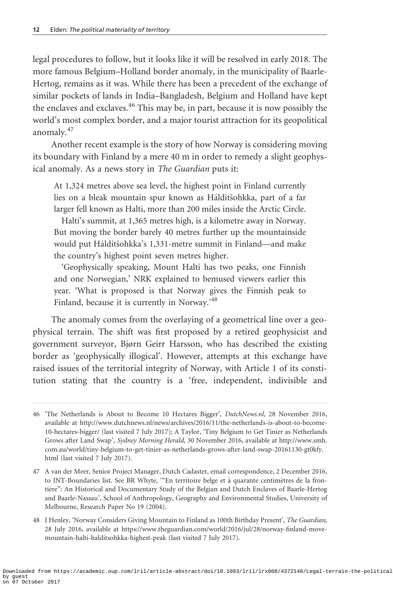legal procedures to follow, but it looks like it will be resolved in early 2018. The more famous Belgium–Holland border anomaly, in the municipality of Baarle-Hertog, remains as it was. While there has been a precedent of the exchange of similar pockets of lands in India–Bangladesh, Belgium and Holland have kept the enclaves and exclaves.<sup>46</sup> This may be, in part, because it is now possibly the world's most complex border, and a major tourist attraction for its geopolitical anomaly.<sup>47</sup>

Another recent example is the story of how Norway is considering moving its boundary with Finland by a mere 40 m in order to remedy a slight geophysical anomaly. As a news story in The Guardian puts it:

At 1,324 metres above sea level, the highest point in Finland currently lies on a bleak mountain spur known as Hálditšohkka, part of a far larger fell known as Halti, more than 200 miles inside the Arctic Circle.

Halti's summit, at 1,365 metres high, is a kilometre away in Norway. But moving the border barely 40 metres further up the mountainside would put Hálditšohkka's 1,331-metre summit in Finland—and make the country's highest point seven metres higher.

'Geophysically speaking, Mount Halti has two peaks, one Finnish and one Norwegian,' NRK explained to bemused viewers earlier this year. 'What is proposed is that Norway gives the Finnish peak to Finland, because it is currently in Norway.'<sup>48</sup>

The anomaly comes from the overlaying of a geometrical line over a geophysical terrain. The shift was first proposed by a retired geophysicist and government surveyor, Bjørn Geirr Harsson, who has described the existing border as 'geophysically illogical'. However, attempts at this exchange have raised issues of the territorial integrity of Norway, with Article 1 of its constitution stating that the country is a 'free, independent, indivisible and

48 J Henley, 'Norway Considers Giving Mountain to Finland as 100th Birthday Present', The Guardian, 28 July 2016, available at [https://www.theguardian.com/world/2016/jul/28/norway-finland-move](https://www.theguardian.com/world/2016/jul/28/norway-finland-move-mountain-halti-halditsohkka-highest-peak)[mountain-halti-halditsohkka-highest-peak](https://www.theguardian.com/world/2016/jul/28/norway-finland-move-mountain-halti-halditsohkka-highest-peak) (last visited 7 July 2017).

<sup>46 &#</sup>x27;The Netherlands is About to Become 10 Hectares Bigger', DutchNews.nl, 28 November 2016, available at [http://www.dutchnews.nl/news/archives/2016/11/the-netherlands-is-about-to-become-](http://www.dutchnews.nl/news/archives/2016/11/the-netherlands-is-about-to-become-10-hectares-bigger/)[10-hectares-bigger/](http://www.dutchnews.nl/news/archives/2016/11/the-netherlands-is-about-to-become-10-hectares-bigger/) (last visited 7 July 2017); A Taylor, 'Tiny Belgium to Get Tinier as Netherlands Grows after Land Swap', Sydney Morning Herald, 30 November 2016, available at [http://www.smh.](http://www.smh.com.au/world/tiny-belgium-to-get-tinier-as-netherlands-grows-after-land-swap-20161130-gt0kfy.html) [com.au/world/tiny-belgium-to-get-tinier-as-netherlands-grows-after-land-swap-20161130-gt0kfy.](http://www.smh.com.au/world/tiny-belgium-to-get-tinier-as-netherlands-grows-after-land-swap-20161130-gt0kfy.html) [html](http://www.smh.com.au/world/tiny-belgium-to-get-tinier-as-netherlands-grows-after-land-swap-20161130-gt0kfy.html) (last visited 7 July 2017).

<sup>47</sup> A van der Meer, Senior Project Manager, Dutch Cadaster, email correspondence, 2 December 2016, to INT-Boundaries list. See BR Whyte, "En territoire belge et à quarante centimètres de la frontière": An Historical and Documentary Study of the Belgian and Dutch Enclaves of Baarle-Hertog and Baarle-Nassau', School of Anthropology, Geography and Environmental Studies, University of Melbourne, Research Paper No 19 (2004).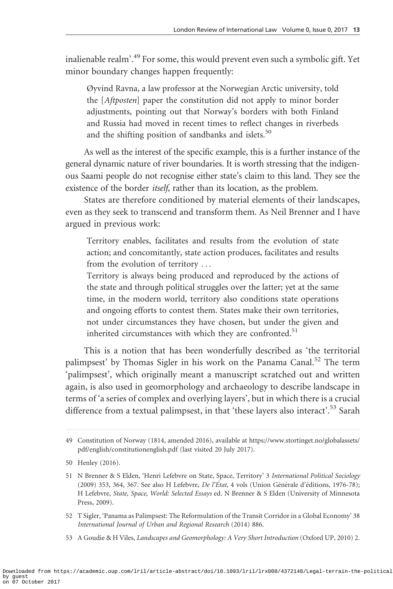inalienable realm'.<sup>49</sup> For some, this would prevent even such a symbolic gift. Yet minor boundary changes happen frequently:

Øyvind Ravna, a law professor at the Norwegian Arctic university, told the [Aftposten] paper the constitution did not apply to minor border adjustments, pointing out that Norway's borders with both Finland and Russia had moved in recent times to reflect changes in riverbeds and the shifting position of sandbanks and islets.<sup>50</sup>

As well as the interest of the specific example, this is a further instance of the general dynamic nature of river boundaries. It is worth stressing that the indigenous Saami people do not recognise either state's claim to this land. They see the existence of the border itself, rather than its location, as the problem.

States are therefore conditioned by material elements of their landscapes, even as they seek to transcend and transform them. As Neil Brenner and I have argued in previous work:

Territory enables, facilitates and results from the evolution of state action; and concomitantly, state action produces, facilitates and results from the evolution of territory ...

Territory is always being produced and reproduced by the actions of the state and through political struggles over the latter; yet at the same time, in the modern world, territory also conditions state operations and ongoing efforts to contest them. States make their own territories, not under circumstances they have chosen, but under the given and inherited circumstances with which they are confronted.<sup>51</sup>

This is a notion that has been wonderfully described as 'the territorial palimpsest' by Thomas Sigler in his work on the Panama Canal.<sup>52</sup> The term 'palimpsest', which originally meant a manuscript scratched out and written again, is also used in geomorphology and archaeology to describe landscape in terms of 'a series of complex and overlying layers', but in which there is a crucial difference from a textual palimpsest, in that 'these layers also interact'.<sup>53</sup> Sarah

53 A Goudie & H Viles, Landscapes and Geomorphology: A Very Short Introduction (Oxford UP, 2010) 2.

<sup>49</sup> Constitution of Norway (1814, amended 2016), available at [https://www.stortinget.no/globalassets/](https://www.stortinget.no/globalassets/pdf/english/constitutionenglish.pdf) [pdf/english/constitutionenglish.pdf](https://www.stortinget.no/globalassets/pdf/english/constitutionenglish.pdf) (last visited 20 July 2017).

<sup>50</sup> Henley (2016).

<sup>51</sup> N Brenner & S Elden, 'Henri Lefebvre on State, Space, Territory' 3 International Political Sociology (2009) 353, 364, 367. See also H Lefebvre, De l'État, 4 vols (Union Générale d'éditions, 1976-78); H Lefebvre, State, Space, World: Selected Essays ed. N Brenner & S Elden (University of Minnesota Press, 2009).

<sup>52</sup> T Sigler, 'Panama as Palimpsest: The Reformulation of the Transit Corridor in a Global Economy' 38 International Journal of Urban and Regional Research (2014) 886.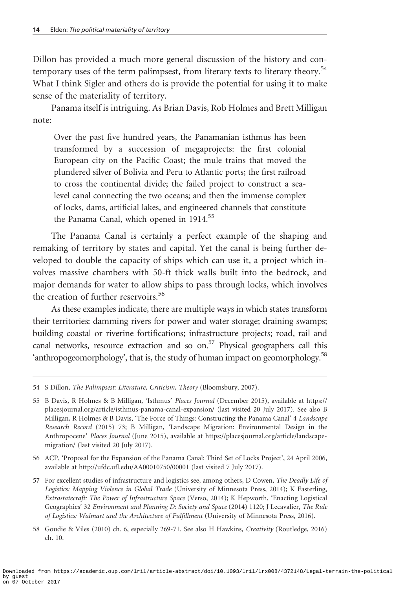Dillon has provided a much more general discussion of the history and contemporary uses of the term palimpsest, from literary texts to literary theory.<sup>54</sup> What I think Sigler and others do is provide the potential for using it to make sense of the materiality of territory.

Panama itself is intriguing. As Brian Davis, Rob Holmes and Brett Milligan note:

Over the past five hundred years, the Panamanian isthmus has been transformed by a succession of megaprojects: the first colonial European city on the Pacific Coast; the mule trains that moved the plundered silver of Bolivia and Peru to Atlantic ports; the first railroad to cross the continental divide; the failed project to construct a sealevel canal connecting the two oceans; and then the immense complex of locks, dams, artificial lakes, and engineered channels that constitute the Panama Canal, which opened in 1914.<sup>55</sup>

The Panama Canal is certainly a perfect example of the shaping and remaking of territory by states and capital. Yet the canal is being further developed to double the capacity of ships which can use it, a project which involves massive chambers with 50-ft thick walls built into the bedrock, and major demands for water to allow ships to pass through locks, which involves the creation of further reservoirs.<sup>56</sup>

As these examples indicate, there are multiple ways in which states transform their territories: damming rivers for power and water storage; draining swamps; building coastal or riverine fortifications; infrastructure projects; road, rail and canal networks, resource extraction and so  $on$ <sup>57</sup> Physical geographers call this 'anthropogeomorphology', that is, the study of human impact on geomorphology.<sup>58</sup>

57 For excellent studies of infrastructure and logistics see, among others, D Cowen, The Deadly Life of Logistics: Mapping Violence in Global Trade (University of Minnesota Press, 2014); K Easterling, Extrastatecraft: The Power of Infrastructure Space (Verso, 2014); K Hepworth, 'Enacting Logistical Geographies' 32 Environment and Planning D: Society and Space (2014) 1120; J Lecavalier, The Rule of Logistics: Walmart and the Architecture of Fulfillment (University of Minnesota Press, 2016).

<sup>54</sup> S Dillon, The Palimpsest: Literature, Criticism, Theory (Bloomsbury, 2007).

<sup>55</sup> B Davis, R Holmes & B Milligan, 'Isthmus' Places Journal (December 2015), available at [https://](https://placesjournal.org/article/isthmus-panama-canal-expansion/) [placesjournal.org/article/isthmus-panama-canal-expansion/](https://placesjournal.org/article/isthmus-panama-canal-expansion/) (last visited 20 July 2017). See also B Milligan, R Holmes & B Davis, 'The Force of Things: Constructing the Panama Canal' 4 Landscape Research Record (2015) 73; B Milligan, 'Landscape Migration: Environmental Design in the Anthropocene' Places Journal (June 2015), available at [https://placesjournal.org/article/landscape](https://placesjournal.org/article/landscape-migration/)[migration/](https://placesjournal.org/article/landscape-migration/) (last visited 20 July 2017).

<sup>56</sup> ACP, 'Proposal for the Expansion of the Panama Canal: Third Set of Locks Project', 24 April 2006, available at<http://ufdc.ufl.edu/AA00010750/00001> (last visited 7 July 2017).

<sup>58</sup> Goudie & Viles (2010) ch. 6, especially 269-71. See also H Hawkins, Creativity (Routledge, 2016) ch. 10.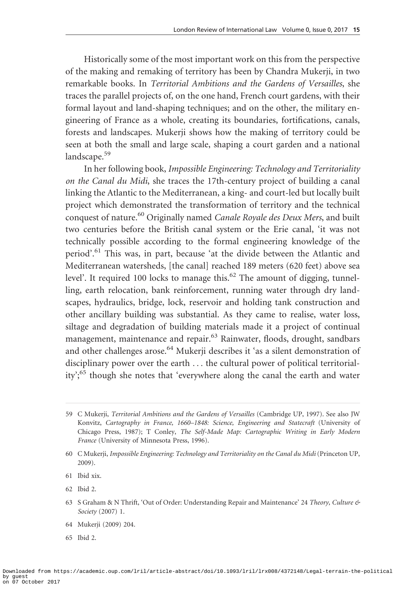Historically some of the most important work on this from the perspective of the making and remaking of territory has been by Chandra Mukerji, in two remarkable books. In Territorial Ambitions and the Gardens of Versailles, she traces the parallel projects of, on the one hand, French court gardens, with their formal layout and land-shaping techniques; and on the other, the military engineering of France as a whole, creating its boundaries, fortifications, canals, forests and landscapes. Mukerji shows how the making of territory could be seen at both the small and large scale, shaping a court garden and a national landscape.<sup>59</sup>

In her following book, Impossible Engineering: Technology and Territoriality on the Canal du Midi, she traces the 17th-century project of building a canal linking the Atlantic to the Mediterranean, a king- and court-led but locally built project which demonstrated the transformation of territory and the technical conquest of nature.<sup>60</sup> Originally named Canale Royale des Deux Mers, and built two centuries before the British canal system or the Erie canal, 'it was not technically possible according to the formal engineering knowledge of the period'.<sup>61</sup> This was, in part, because 'at the divide between the Atlantic and Mediterranean watersheds, [the canal] reached 189 meters (620 feet) above sea level'. It required 100 locks to manage this.<sup>62</sup> The amount of digging, tunnelling, earth relocation, bank reinforcement, running water through dry landscapes, hydraulics, bridge, lock, reservoir and holding tank construction and other ancillary building was substantial. As they came to realise, water loss, siltage and degradation of building materials made it a project of continual management, maintenance and repair.<sup>63</sup> Rainwater, floods, drought, sandbars and other challenges arose.<sup>64</sup> Mukerji describes it 'as a silent demonstration of disciplinary power over the earth ... the cultural power of political territoriality';<sup>65</sup> though she notes that 'everywhere along the canal the earth and water

65 Ibid 2.

<sup>59</sup> C Mukerji, Territorial Ambitions and the Gardens of Versailles (Cambridge UP, 1997). See also JW Konvitz, Cartography in France, 1660–1848: Science, Engineering and Statecraft (University of Chicago Press, 1987); T Conley, The Self-Made Map: Cartographic Writing in Early Modern France (University of Minnesota Press, 1996).

<sup>60</sup> C Mukerji, Impossible Engineering: Technology and Territoriality on the Canal du Midi (Princeton UP, 2009).

<sup>61</sup> Ibid xix.

<sup>62</sup> Ibid 2.

<sup>63</sup> S Graham & N Thrift, 'Out of Order: Understanding Repair and Maintenance' 24 Theory, Culture & Society (2007) 1.

<sup>64</sup> Mukerji (2009) 204.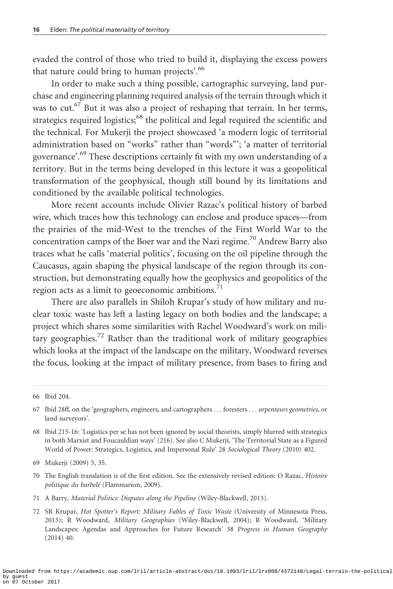evaded the control of those who tried to build it, displaying the excess powers that nature could bring to human projects'.<sup>66</sup>

In order to make such a thing possible, cartographic surveying, land purchase and engineering planning required analysis of the terrain through which it was to cut.<sup>67</sup> But it was also a project of reshaping that terrain. In her terms, strategics required logistics;<sup>68</sup> the political and legal required the scientific and the technical. For Mukerji the project showcased 'a modern logic of territorial administration based on "works" rather than "words"'; 'a matter of territorial governance'.<sup>69</sup> These descriptions certainly fit with my own understanding of a territory. But in the terms being developed in this lecture it was a geopolitical transformation of the geophysical, though still bound by its limitations and conditioned by the available political technologies.

More recent accounts include Olivier Razac's political history of barbed wire, which traces how this technology can enclose and produce spaces—from the prairies of the mid-West to the trenches of the First World War to the concentration camps of the Boer war and the Nazi regime.<sup>70</sup> Andrew Barry also traces what he calls 'material politics', focusing on the oil pipeline through the Caucasus, again shaping the physical landscape of the region through its construction, but demonstrating equally how the geophysics and geopolitics of the region acts as a limit to geoeconomic ambitions.<sup>71</sup>

There are also parallels in Shiloh Krupar's study of how military and nuclear toxic waste has left a lasting legacy on both bodies and the landscape; a project which shares some similarities with Rachel Woodward's work on military geographies.<sup>72</sup> Rather than the traditional work of military geographies which looks at the impact of the landscape on the military, Woodward reverses the focus, looking at the impact of military presence, from bases to firing and

- 70 The English translation is of the first edition. See the extensively revised edition: O Razac, Histoire politique du barbelé (Flammarion, 2009).
- 71 A Barry, Material Politics: Disputes along the Pipeline (Wiley-Blackwell, 2013).
- 72 SR Krupar, Hot Spotter's Report: Military Fables of Toxic Waste (University of Minnesota Press, 2013); R Woodward, Military Geographies (Wiley-Blackwell, 2004); R Woodward, 'Military Landscapes: Agendas and Approaches for Future Research' 38 Progress in Human Geography (2014) 40.

<sup>66</sup> Ibid 204.

<sup>67</sup> Ibid 28ff, on the 'geographers, engineers, and cartographers ... foresters ... arpenteurs geometries, or land surveyors'.

<sup>68</sup> Ibid 215-16: 'Logistics per se has not been ignored by social theorists, simply blurred with strategics in both Marxist and Foucauldian ways' (216). See also C Mukerji, 'The Territorial State as a Figured World of Power: Strategics, Logistics, and Impersonal Rule' 28 Sociological Theory (2010) 402.

<sup>69</sup> Mukerji (2009) 5, 35.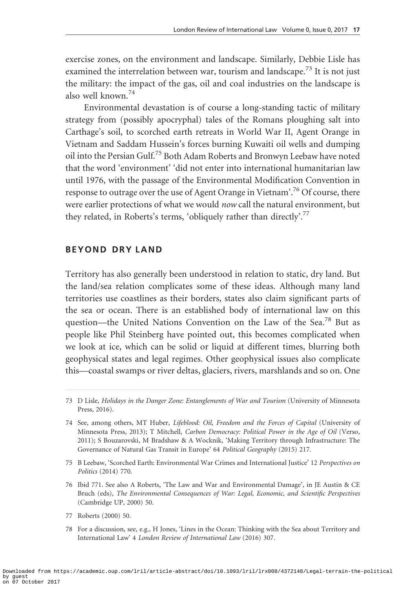exercise zones, on the environment and landscape. Similarly, Debbie Lisle has examined the interrelation between war, tourism and landscape.<sup>73</sup> It is not just the military: the impact of the gas, oil and coal industries on the landscape is also well known.<sup>74</sup>

Environmental devastation is of course a long-standing tactic of military strategy from (possibly apocryphal) tales of the Romans ploughing salt into Carthage's soil, to scorched earth retreats in World War II, Agent Orange in Vietnam and Saddam Hussein's forces burning Kuwaiti oil wells and dumping oil into the Persian Gulf.75 Both Adam Roberts and Bronwyn Leebaw have noted that the word 'environment' 'did not enter into international humanitarian law until 1976, with the passage of the Environmental Modification Convention in response to outrage over the use of Agent Orange in Vietnam'.<sup>76</sup> Of course, there were earlier protections of what we would now call the natural environment, but they related, in Roberts's terms, 'obliquely rather than directly'.<sup>77</sup>

### BEYOND DRY LAND

Territory has also generally been understood in relation to static, dry land. But the land/sea relation complicates some of these ideas. Although many land territories use coastlines as their borders, states also claim significant parts of the sea or ocean. There is an established body of international law on this question—the United Nations Convention on the Law of the Sea.<sup>78</sup> But as people like Phil Steinberg have pointed out, this becomes complicated when we look at ice, which can be solid or liquid at different times, blurring both geophysical states and legal regimes. Other geophysical issues also complicate this—coastal swamps or river deltas, glaciers, rivers, marshlands and so on. One

- 75 B Leebaw, 'Scorched Earth: Environmental War Crimes and International Justice' 12 Perspectives on Politics (2014) 770.
- 76 Ibid 771. See also A Roberts, 'The Law and War and Environmental Damage', in JE Austin & CE Bruch (eds), The Environmental Consequences of War: Legal, Economic, and Scientific Perspectives (Cambridge UP, 2000) 50.
- 77 Roberts (2000) 50.
- 78 For a discussion, see, e.g., H Jones, 'Lines in the Ocean: Thinking with the Sea about Territory and International Law' 4 London Review of International Law (2016) 307.

<sup>73</sup> D Lisle, Holidays in the Danger Zone: Entanglements of War and Tourism (University of Minnesota Press, 2016).

<sup>74</sup> See, among others, MT Huber, Lifeblood: Oil, Freedom and the Forces of Capital (University of Minnesota Press, 2013); T Mitchell, Carbon Democracy: Political Power in the Age of Oil (Verso, 2011); S Bouzarovski, M Bradshaw & A Wocknik, 'Making Territory through Infrastructure: The Governance of Natural Gas Transit in Europe' 64 Political Geography (2015) 217.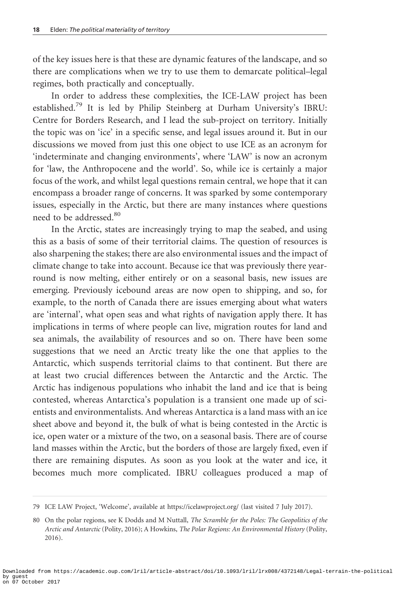of the key issues here is that these are dynamic features of the landscape, and so there are complications when we try to use them to demarcate political–legal regimes, both practically and conceptually.

In order to address these complexities, the ICE-LAW project has been established.<sup>79</sup> It is led by Philip Steinberg at Durham University's IBRU: Centre for Borders Research, and I lead the sub-project on territory. Initially the topic was on 'ice' in a specific sense, and legal issues around it. But in our discussions we moved from just this one object to use ICE as an acronym for 'indeterminate and changing environments', where 'LAW' is now an acronym for 'law, the Anthropocene and the world'. So, while ice is certainly a major focus of the work, and whilst legal questions remain central, we hope that it can encompass a broader range of concerns. It was sparked by some contemporary issues, especially in the Arctic, but there are many instances where questions need to be addressed.<sup>80</sup>

In the Arctic, states are increasingly trying to map the seabed, and using this as a basis of some of their territorial claims. The question of resources is also sharpening the stakes; there are also environmental issues and the impact of climate change to take into account. Because ice that was previously there yearround is now melting, either entirely or on a seasonal basis, new issues are emerging. Previously icebound areas are now open to shipping, and so, for example, to the north of Canada there are issues emerging about what waters are 'internal', what open seas and what rights of navigation apply there. It has implications in terms of where people can live, migration routes for land and sea animals, the availability of resources and so on. There have been some suggestions that we need an Arctic treaty like the one that applies to the Antarctic, which suspends territorial claims to that continent. But there are at least two crucial differences between the Antarctic and the Arctic. The Arctic has indigenous populations who inhabit the land and ice that is being contested, whereas Antarctica's population is a transient one made up of scientists and environmentalists. And whereas Antarctica is a land mass with an ice sheet above and beyond it, the bulk of what is being contested in the Arctic is ice, open water or a mixture of the two, on a seasonal basis. There are of course land masses within the Arctic, but the borders of those are largely fixed, even if there are remaining disputes. As soon as you look at the water and ice, it becomes much more complicated. IBRU colleagues produced a map of

<sup>79</sup> ICE LAW Project, 'Welcome', available at<https://icelawproject.org/> (last visited 7 July 2017).

<sup>80</sup> On the polar regions, see K Dodds and M Nuttall, The Scramble for the Poles: The Geopolitics of the Arctic and Antarctic (Polity, 2016); A Howkins, The Polar Regions: An Environmental History (Polity, 2016).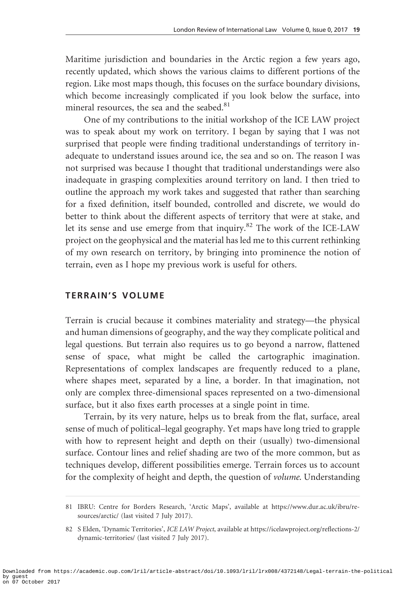Maritime jurisdiction and boundaries in the Arctic region a few years ago, recently updated, which shows the various claims to different portions of the region. Like most maps though, this focuses on the surface boundary divisions, which become increasingly complicated if you look below the surface, into mineral resources, the sea and the seabed.<sup>81</sup>

One of my contributions to the initial workshop of the ICE LAW project was to speak about my work on territory. I began by saying that I was not surprised that people were finding traditional understandings of territory inadequate to understand issues around ice, the sea and so on. The reason I was not surprised was because I thought that traditional understandings were also inadequate in grasping complexities around territory on land. I then tried to outline the approach my work takes and suggested that rather than searching for a fixed definition, itself bounded, controlled and discrete, we would do better to think about the different aspects of territory that were at stake, and let its sense and use emerge from that inquiry.<sup>82</sup> The work of the ICE-LAW project on the geophysical and the material has led me to this current rethinking of my own research on territory, by bringing into prominence the notion of terrain, even as I hope my previous work is useful for others.

## TERRAIN'S VOLUME

Terrain is crucial because it combines materiality and strategy—the physical and human dimensions of geography, and the way they complicate political and legal questions. But terrain also requires us to go beyond a narrow, flattened sense of space, what might be called the cartographic imagination. Representations of complex landscapes are frequently reduced to a plane, where shapes meet, separated by a line, a border. In that imagination, not only are complex three-dimensional spaces represented on a two-dimensional surface, but it also fixes earth processes at a single point in time.

Terrain, by its very nature, helps us to break from the flat, surface, areal sense of much of political–legal geography. Yet maps have long tried to grapple with how to represent height and depth on their (usually) two-dimensional surface. Contour lines and relief shading are two of the more common, but as techniques develop, different possibilities emerge. Terrain forces us to account for the complexity of height and depth, the question of volume. Understanding

<sup>81</sup> IBRU: Centre for Borders Research, 'Arctic Maps', available at [https://www.dur.ac.uk/ibru/re](https://www.dur.ac.uk/ibru/resources/arctic/)[sources/arctic/](https://www.dur.ac.uk/ibru/resources/arctic/) (last visited 7 July 2017).

<sup>82</sup> S Elden, 'Dynamic Territories', ICE LAW Project, available at [https://icelawproject.org/reflections-2/](https://icelawproject.org/reflections-2/dynamic-territories/) [dynamic-territories/](https://icelawproject.org/reflections-2/dynamic-territories/) (last visited 7 July 2017).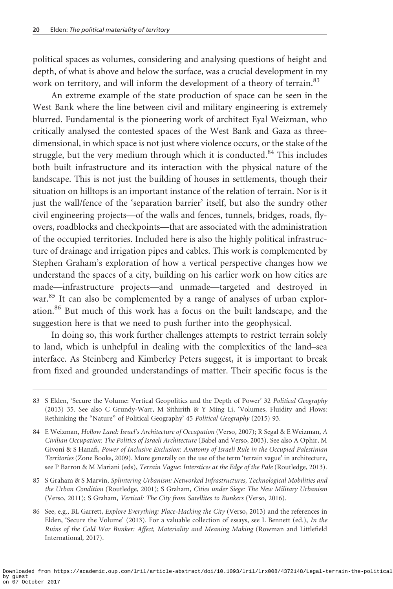political spaces as volumes, considering and analysing questions of height and depth, of what is above and below the surface, was a crucial development in my work on territory, and will inform the development of a theory of terrain.<sup>83</sup>

An extreme example of the state production of space can be seen in the West Bank where the line between civil and military engineering is extremely blurred. Fundamental is the pioneering work of architect Eyal Weizman, who critically analysed the contested spaces of the West Bank and Gaza as threedimensional, in which space is not just where violence occurs, or the stake of the struggle, but the very medium through which it is conducted.<sup>84</sup> This includes both built infrastructure and its interaction with the physical nature of the landscape. This is not just the building of houses in settlements, though their situation on hilltops is an important instance of the relation of terrain. Nor is it just the wall/fence of the 'separation barrier' itself, but also the sundry other civil engineering projects—of the walls and fences, tunnels, bridges, roads, flyovers, roadblocks and checkpoints—that are associated with the administration of the occupied territories. Included here is also the highly political infrastructure of drainage and irrigation pipes and cables. This work is complemented by Stephen Graham's exploration of how a vertical perspective changes how we understand the spaces of a city, building on his earlier work on how cities are made—infrastructure projects—and unmade—targeted and destroyed in war.<sup>85</sup> It can also be complemented by a range of analyses of urban exploration.<sup>86</sup> But much of this work has a focus on the built landscape, and the suggestion here is that we need to push further into the geophysical.

In doing so, this work further challenges attempts to restrict terrain solely to land, which is unhelpful in dealing with the complexities of the land–sea interface. As Steinberg and Kimberley Peters suggest, it is important to break from fixed and grounded understandings of matter. Their specific focus is the

84 E Weizman, Hollow Land: Israel's Architecture of Occupation (Verso, 2007); R Segal & E Weizman, A Civilian Occupation: The Politics of Israeli Architecture (Babel and Verso, 2003). See also A Ophir, M Givoni & S Hanafi, Power of Inclusive Exclusion: Anatomy of Israeli Rule in the Occupied Palestinian Territories (Zone Books, 2009). More generally on the use of the term 'terrain vague' in architecture, see P Barron & M Mariani (eds), Terrain Vague: Interstices at the Edge of the Pale (Routledge, 2013).

85 S Graham & S Marvin, Splintering Urbanism: Networked Infrastructures, Technological Mobilities and the Urban Condition (Routledge, 2001); S Graham, Cities under Siege: The New Military Urbanism (Verso, 2011); S Graham, Vertical: The City from Satellites to Bunkers (Verso, 2016).

86 See, e.g., BL Garrett, Explore Everything: Place-Hacking the City (Verso, 2013) and the references in Elden, 'Secure the Volume' (2013). For a valuable collection of essays, see L Bennett (ed.), In the Ruins of the Cold War Bunker: Affect, Materiality and Meaning Making (Rowman and Littlefield International, 2017).

<sup>83</sup> S Elden, 'Secure the Volume: Vertical Geopolitics and the Depth of Power' 32 Political Geography (2013) 35. See also C Grundy-Warr, M Sithirith & Y Ming Li, 'Volumes, Fluidity and Flows: Rethinking the "Nature" of Political Geography' 45 Political Geography (2015) 93.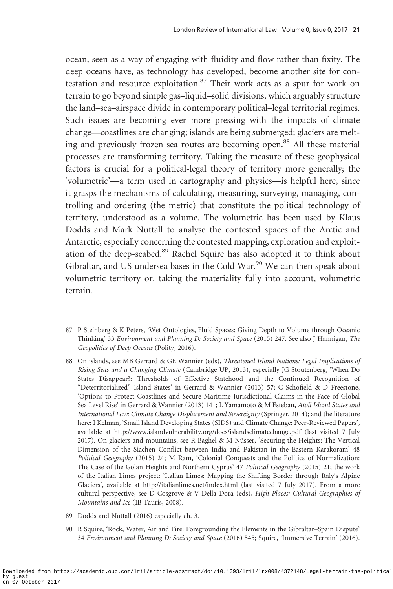ocean, seen as a way of engaging with fluidity and flow rather than fixity. The deep oceans have, as technology has developed, become another site for contestation and resource exploitation.<sup>87</sup> Their work acts as a spur for work on terrain to go beyond simple gas–liquid–solid divisions, which arguably structure the land–sea–airspace divide in contemporary political–legal territorial regimes. Such issues are becoming ever more pressing with the impacts of climate change—coastlines are changing; islands are being submerged; glaciers are melting and previously frozen sea routes are becoming open.<sup>88</sup> All these material processes are transforming territory. Taking the measure of these geophysical factors is crucial for a political-legal theory of territory more generally; the 'volumetric'—a term used in cartography and physics—is helpful here, since it grasps the mechanisms of calculating, measuring, surveying, managing, controlling and ordering (the metric) that constitute the political technology of territory, understood as a volume. The volumetric has been used by Klaus Dodds and Mark Nuttall to analyse the contested spaces of the Arctic and Antarctic, especially concerning the contested mapping, exploration and exploitation of the deep-seabed.<sup>89</sup> Rachel Squire has also adopted it to think about Gibraltar, and US undersea bases in the Cold War.<sup>90</sup> We can then speak about volumetric territory or, taking the materiality fully into account, volumetric terrain.

- 89 Dodds and Nuttall (2016) especially ch. 3.
- 90 R Squire, 'Rock, Water, Air and Fire: Foregrounding the Elements in the Gibraltar–Spain Dispute' 34 Environment and Planning D: Society and Space (2016) 545; Squire, 'Immersive Terrain' (2016).

<sup>87</sup> P Steinberg & K Peters, 'Wet Ontologies, Fluid Spaces: Giving Depth to Volume through Oceanic Thinking' 33 Environment and Planning D: Society and Space (2015) 247. See also J Hannigan, The Geopolitics of Deep Oceans (Polity, 2016).

<sup>88</sup> On islands, see MB Gerrard & GE Wannier (eds), Threatened Island Nations: Legal Implications of Rising Seas and a Changing Climate (Cambridge UP, 2013), especially JG Stoutenberg, 'When Do States Disappear?: Thresholds of Effective Statehood and the Continued Recognition of "Deterritorialized" Island States' in Gerrard & Wannier (2013) 57; C Schofield & D Freestone, 'Options to Protect Coastlines and Secure Maritime Jurisdictional Claims in the Face of Global Sea Level Rise' in Gerrard & Wannier (2013) 141; L Yamamoto & M Esteban, Atoll Island States and International Law: Climate Change Displacement and Sovereignty (Springer, 2014); and the literature here: I Kelman, 'Small Island Developing States (SIDS) and Climate Change: Peer-Reviewed Papers', available at<http://www.islandvulnerability.org/docs/islandsclimatechange.pdf> (last visited 7 July 2017). On glaciers and mountains, see R Baghel & M Nüsser, 'Securing the Heights: The Vertical Dimension of the Siachen Conflict between India and Pakistan in the Eastern Karakoram' 48 Political Geography (2015) 24; M Ram, 'Colonial Conquests and the Politics of Normalization: The Case of the Golan Heights and Northern Cyprus' 47 Political Geography (2015) 21; the work of the Italian Limes project: 'Italian Limes: Mapping the Shifting Border through Italy's Alpine Glaciers', available at<http://italianlimes.net/index.html> (last visited 7 July 2017). From a more cultural perspective, see D Cosgrove & V Della Dora (eds), High Places: Cultural Geographies of Mountains and Ice (IB Tauris, 2008).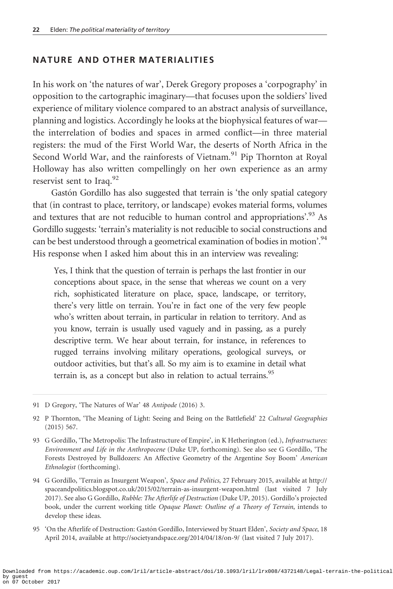## NATURE AND OTHER MATERIALITIES

In his work on 'the natures of war', Derek Gregory proposes a 'corpography' in opposition to the cartographic imaginary—that focuses upon the soldiers' lived experience of military violence compared to an abstract analysis of surveillance, planning and logistics. Accordingly he looks at the biophysical features of war the interrelation of bodies and spaces in armed conflict—in three material registers: the mud of the First World War, the deserts of North Africa in the Second World War, and the rainforests of Vietnam.<sup>91</sup> Pip Thornton at Royal Holloway has also written compellingly on her own experience as an army reservist sent to Iraq.<sup>92</sup>

Gastón Gordillo has also suggested that terrain is 'the only spatial category that (in contrast to place, territory, or landscape) evokes material forms, volumes and textures that are not reducible to human control and appropriations'.<sup>93</sup> As Gordillo suggests: 'terrain's materiality is not reducible to social constructions and can be best understood through a geometrical examination of bodies in motion'.<sup>94</sup> His response when I asked him about this in an interview was revealing:

Yes, I think that the question of terrain is perhaps the last frontier in our conceptions about space, in the sense that whereas we count on a very rich, sophisticated literature on place, space, landscape, or territory, there's very little on terrain. You're in fact one of the very few people who's written about terrain, in particular in relation to territory. And as you know, terrain is usually used vaguely and in passing, as a purely descriptive term. We hear about terrain, for instance, in references to rugged terrains involving military operations, geological surveys, or outdoor activities, but that's all. So my aim is to examine in detail what terrain is, as a concept but also in relation to actual terrains.<sup>95</sup>

95 'On the Afterlife of Destruction: Gastón Gordillo, Interviewed by Stuart Elden', Society and Space, 18 April 2014, available at<http://societyandspace.org/2014/04/18/on-9/> (last visited 7 July 2017).

<sup>91</sup> D Gregory, 'The Natures of War' 48 Antipode (2016) 3.

<sup>92</sup> P Thornton, 'The Meaning of Light: Seeing and Being on the Battlefield' 22 Cultural Geographies (2015) 567.

<sup>93</sup> G Gordillo, 'The Metropolis: The Infrastructure of Empire', in K Hetherington (ed.), Infrastructures: Environment and Life in the Anthropocene (Duke UP, forthcoming). See also see G Gordillo, 'The Forests Destroyed by Bulldozers: An Affective Geometry of the Argentine Soy Boom' American Ethnologist (forthcoming).

<sup>94</sup> G Gordillo, 'Terrain as Insurgent Weapon', Space and Politics, 27 February 2015, available at [http://](http://spaceandpolitics.blogspot.co.uk/2015/02/terrain-as-insurgent-weapon.html) [spaceandpolitics.blogspot.co.uk/2015/02/terrain-as-insurgent-weapon.html](http://spaceandpolitics.blogspot.co.uk/2015/02/terrain-as-insurgent-weapon.html) (last visited 7 July 2017). See also G Gordillo, Rubble: The Afterlife of Destruction (Duke UP, 2015). Gordillo's projected book, under the current working title Opaque Planet: Outline of a Theory of Terrain, intends to develop these ideas.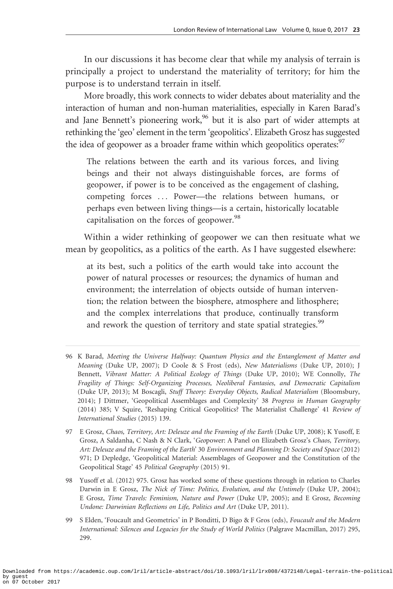In our discussions it has become clear that while my analysis of terrain is principally a project to understand the materiality of territory; for him the purpose is to understand terrain in itself.

More broadly, this work connects to wider debates about materiality and the interaction of human and non-human materialities, especially in Karen Barad's and Jane Bennett's pioneering work,<sup>96</sup> but it is also part of wider attempts at rethinking the 'geo' element in the term 'geopolitics'. Elizabeth Grosz has suggested the idea of geopower as a broader frame within which geopolitics operates:<sup>97</sup>

The relations between the earth and its various forces, and living beings and their not always distinguishable forces, are forms of geopower, if power is to be conceived as the engagement of clashing, competing forces ... Power—the relations between humans, or perhaps even between living things—is a certain, historically locatable capitalisation on the forces of geopower.<sup>98</sup>

Within a wider rethinking of geopower we can then resituate what we mean by geopolitics, as a politics of the earth. As I have suggested elsewhere:

at its best, such a politics of the earth would take into account the power of natural processes or resources; the dynamics of human and environment; the interrelation of objects outside of human intervention; the relation between the biosphere, atmosphere and lithosphere; and the complex interrelations that produce, continually transform and rework the question of territory and state spatial strategies.<sup>99</sup>

- 97 E Grosz, Chaos, Territory, Art: Deleuze and the Framing of the Earth (Duke UP, 2008); K Yusoff, E Grosz, A Saldanha, C Nash & N Clark, 'Geopower: A Panel on Elizabeth Grosz's Chaos, Territory, Art: Deleuze and the Framing of the Earth' 30 Environment and Planning D: Society and Space (2012) 971; D Depledge, 'Geopolitical Material: Assemblages of Geopower and the Constitution of the Geopolitical Stage' 45 Political Geography (2015) 91.
- 98 Yusoff et al. (2012) 975. Grosz has worked some of these questions through in relation to Charles Darwin in E Grosz, The Nick of Time: Politics, Evolution, and the Untimely (Duke UP, 2004); E Grosz, Time Travels: Feminism, Nature and Power (Duke UP, 2005); and E Grosz, Becoming Undone: Darwinian Reflections on Life, Politics and Art (Duke UP, 2011).
- 99 S Elden, 'Foucault and Geometrics' in P Bonditti, D Bigo & F Gros (eds), Foucault and the Modern International: Silences and Legacies for the Study of World Politics (Palgrave Macmillan, 2017) 295, 299.

<sup>96</sup> K Barad, Meeting the Universe Halfway: Quantum Physics and the Entanglement of Matter and Meaning (Duke UP, 2007); D Coole & S Frost (eds), New Materialisms (Duke UP, 2010); J Bennett, Vibrant Matter: A Political Ecology of Things (Duke UP, 2010); WE Connolly, The Fragility of Things: Self-Organizing Processes, Neoliberal Fantasies, and Democratic Capitalism (Duke UP, 2013); M Boscagli, Stuff Theory: Everyday Objects, Radical Materialism (Bloomsbury, 2014); J Dittmer, 'Geopolitical Assemblages and Complexity' 38 Progress in Human Geography (2014) 385; V Squire, 'Reshaping Critical Geopolitics? The Materialist Challenge' 41 Review of International Studies (2015) 139.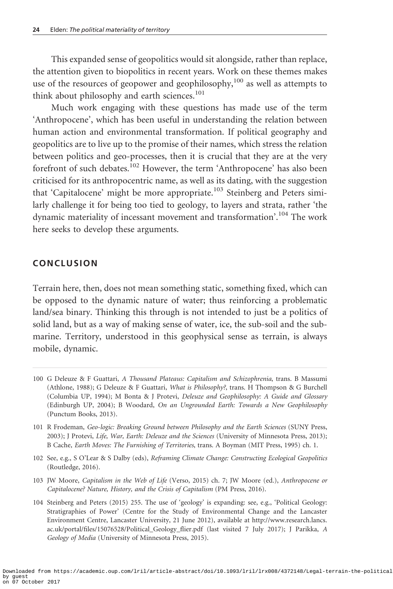This expanded sense of geopolitics would sit alongside, rather than replace, the attention given to biopolitics in recent years. Work on these themes makes use of the resources of geopower and geophilosophy, $100$  as well as attempts to think about philosophy and earth sciences.<sup>101</sup>

Much work engaging with these questions has made use of the term 'Anthropocene', which has been useful in understanding the relation between human action and environmental transformation. If political geography and geopolitics are to live up to the promise of their names, which stress the relation between politics and geo-processes, then it is crucial that they are at the very forefront of such debates.<sup>102</sup> However, the term 'Anthropocene' has also been criticised for its anthropocentric name, as well as its dating, with the suggestion that 'Capitalocene' might be more appropriate.<sup>103</sup> Steinberg and Peters similarly challenge it for being too tied to geology, to layers and strata, rather 'the dynamic materiality of incessant movement and transformation'.<sup>104</sup> The work here seeks to develop these arguments.

### **CONCLUSION**

Terrain here, then, does not mean something static, something fixed, which can be opposed to the dynamic nature of water; thus reinforcing a problematic land/sea binary. Thinking this through is not intended to just be a politics of solid land, but as a way of making sense of water, ice, the sub-soil and the submarine. Territory, understood in this geophysical sense as terrain, is always mobile, dynamic.

- 100 G Deleuze & F Guattari, A Thousand Plateaus: Capitalism and Schizophrenia, trans. B Massumi (Athlone, 1988); G Deleuze & F Guattari, What is Philosophy?, trans. H Thompson & G Burchell (Columbia UP, 1994); M Bonta & J Protevi, Deleuze and Geophilosophy: A Guide and Glossary (Edinburgh UP, 2004); B Woodard, On an Ungrounded Earth: Towards a New Geophilosophy (Punctum Books, 2013).
- 101 R Frodeman, Geo-logic: Breaking Ground between Philosophy and the Earth Sciences (SUNY Press, 2003); J Protevi, Life, War, Earth: Deleuze and the Sciences (University of Minnesota Press, 2013); B Cache, Earth Moves: The Furnishing of Territories, trans. A Boyman (MIT Press, 1995) ch. 1.
- 102 See, e.g., S O'Lear & S Dalby (eds), Reframing Climate Change: Constructing Ecological Geopolitics (Routledge, 2016).
- 103 JW Moore, Capitalism in the Web of Life (Verso, 2015) ch. 7; JW Moore (ed.), Anthropocene or Capitalocene? Nature, History, and the Crisis of Capitalism (PM Press, 2016).
- 104 Steinberg and Peters (2015) 255. The use of 'geology' is expanding: see, e.g., 'Political Geology: Stratigraphies of Power' (Centre for the Study of Environmental Change and the Lancaster Environment Centre, Lancaster University, 21 June 2012), available at [http://www.research.lancs.](http://www.research.lancs.ac.uk/portal/files/15076528/Political_Geology_flier.pdf) [ac.uk/portal/files/15076528/Political\\_Geology\\_flier.pdf](http://www.research.lancs.ac.uk/portal/files/15076528/Political_Geology_flier.pdf) (last visited 7 July 2017); J Parikka, A Geology of Media (University of Minnesota Press, 2015).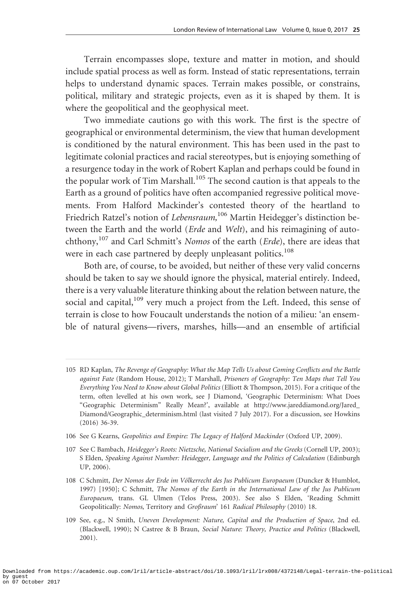Terrain encompasses slope, texture and matter in motion, and should include spatial process as well as form. Instead of static representations, terrain helps to understand dynamic spaces. Terrain makes possible, or constrains, political, military and strategic projects, even as it is shaped by them. It is where the geopolitical and the geophysical meet.

Two immediate cautions go with this work. The first is the spectre of geographical or environmental determinism, the view that human development is conditioned by the natural environment. This has been used in the past to legitimate colonial practices and racial stereotypes, but is enjoying something of a resurgence today in the work of Robert Kaplan and perhaps could be found in the popular work of Tim Marshall.<sup>105</sup> The second caution is that appeals to the Earth as a ground of politics have often accompanied regressive political movements. From Halford Mackinder's contested theory of the heartland to Friedrich Ratzel's notion of Lebensraum,<sup>106</sup> Martin Heidegger's distinction between the Earth and the world (*Erde* and *Welt*), and his reimagining of autochthony,<sup>107</sup> and Carl Schmitt's Nomos of the earth (Erde), there are ideas that were in each case partnered by deeply unpleasant politics.<sup>108</sup>

Both are, of course, to be avoided, but neither of these very valid concerns should be taken to say we should ignore the physical, material entirely. Indeed, there is a very valuable literature thinking about the relation between nature, the social and capital,<sup>109</sup> very much a project from the Left. Indeed, this sense of terrain is close to how Foucault understands the notion of a milieu: 'an ensemble of natural givens—rivers, marshes, hills—and an ensemble of artificial

- 106 See G Kearns, Geopolitics and Empire: The Legacy of Halford Mackinder (Oxford UP, 2009).
- 107 See C Bambach, Heidegger's Roots: Nietzsche, National Socialism and the Greeks (Cornell UP, 2003); S Elden, Speaking Against Number: Heidegger, Language and the Politics of Calculation (Edinburgh UP, 2006).
- 108 C Schmitt, Der Nomos der Erde im Völkerrecht des Jus Publicum Europaeum (Duncker & Humblot, 1997) [1950]; C Schmitt, The Nomos of the Earth in the International Law of the Jus Publicum Europaeum, trans. GL Ulmen (Telos Press, 2003). See also S Elden, 'Reading Schmitt Geopolitically: Nomos, Territory and Großraum' 161 Radical Philosophy (2010) 18.
- 109 See, e.g., N Smith, Uneven Development: Nature, Capital and the Production of Space, 2nd ed. (Blackwell, 1990); N Castree & B Braun, Social Nature: Theory, Practice and Politics (Blackwell, 2001).

<sup>105</sup> RD Kaplan, The Revenge of Geography: What the Map Tells Us about Coming Conflicts and the Battle against Fate (Random House, 2012); T Marshall, Prisoners of Geography: Ten Maps that Tell You Everything You Need to Know about Global Politics (Elliott & Thompson, 2015). For a critique of the term, often levelled at his own work, see J Diamond, 'Geographic Determinism: What Does "Geographic Determinism" Really Mean?', available at [http://www.jareddiamond.org/Jared\\_](http://www.jareddiamond.org/Jared_Diamond/Geographic_determinism.html) [Diamond/Geographic\\_determinism.html](http://www.jareddiamond.org/Jared_Diamond/Geographic_determinism.html) (last visited 7 July 2017). For a discussion, see Howkins (2016) 36-39.